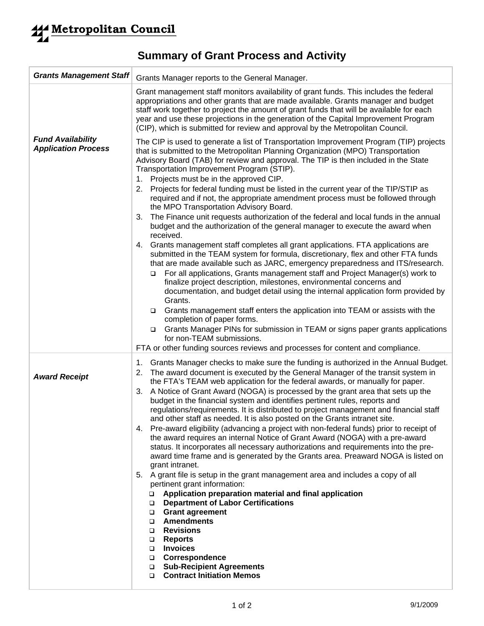## **Summary of Grant Process and Activity**

| <b>Grants Management Staff</b>                         | Grants Manager reports to the General Manager.                                                                                                                                                                                                                                                                                                                                                                                                                                                                                                                                                                                                                                                                                                                                                                                                                                                                                                                                                                                                                                                                                                                                                                                                                                                                                                                                                                                                                                                   |
|--------------------------------------------------------|--------------------------------------------------------------------------------------------------------------------------------------------------------------------------------------------------------------------------------------------------------------------------------------------------------------------------------------------------------------------------------------------------------------------------------------------------------------------------------------------------------------------------------------------------------------------------------------------------------------------------------------------------------------------------------------------------------------------------------------------------------------------------------------------------------------------------------------------------------------------------------------------------------------------------------------------------------------------------------------------------------------------------------------------------------------------------------------------------------------------------------------------------------------------------------------------------------------------------------------------------------------------------------------------------------------------------------------------------------------------------------------------------------------------------------------------------------------------------------------------------|
|                                                        | Grant management staff monitors availability of grant funds. This includes the federal<br>appropriations and other grants that are made available. Grants manager and budget<br>staff work together to project the amount of grant funds that will be available for each<br>year and use these projections in the generation of the Capital Improvement Program<br>(CIP), which is submitted for review and approval by the Metropolitan Council.                                                                                                                                                                                                                                                                                                                                                                                                                                                                                                                                                                                                                                                                                                                                                                                                                                                                                                                                                                                                                                                |
| <b>Fund Availability</b><br><b>Application Process</b> | The CIP is used to generate a list of Transportation Improvement Program (TIP) projects<br>that is submitted to the Metropolitan Planning Organization (MPO) Transportation<br>Advisory Board (TAB) for review and approval. The TIP is then included in the State<br>Transportation Improvement Program (STIP).<br>1. Projects must be in the approved CIP.<br>2. Projects for federal funding must be listed in the current year of the TIP/STIP as<br>required and if not, the appropriate amendment process must be followed through<br>the MPO Transportation Advisory Board.<br>The Finance unit requests authorization of the federal and local funds in the annual<br>3.<br>budget and the authorization of the general manager to execute the award when<br>received.<br>4. Grants management staff completes all grant applications. FTA applications are<br>submitted in the TEAM system for formula, discretionary, flex and other FTA funds<br>that are made available such as JARC, emergency preparedness and ITS/research.<br>For all applications, Grants management staff and Project Manager(s) work to<br>□<br>finalize project description, milestones, environmental concerns and<br>documentation, and budget detail using the internal application form provided by<br>Grants.<br>Grants management staff enters the application into TEAM or assists with the<br>$\Box$<br>completion of paper forms.                                                                   |
|                                                        | Grants Manager PINs for submission in TEAM or signs paper grants applications<br>$\Box$<br>for non-TEAM submissions.<br>FTA or other funding sources reviews and processes for content and compliance.                                                                                                                                                                                                                                                                                                                                                                                                                                                                                                                                                                                                                                                                                                                                                                                                                                                                                                                                                                                                                                                                                                                                                                                                                                                                                           |
| <b>Award Receipt</b>                                   | Grants Manager checks to make sure the funding is authorized in the Annual Budget.<br>1.<br>The award document is executed by the General Manager of the transit system in<br>2.<br>the FTA's TEAM web application for the federal awards, or manually for paper.<br>A Notice of Grant Award (NOGA) is processed by the grant area that sets up the<br>3.<br>budget in the financial system and identifies pertinent rules, reports and<br>regulations/requirements. It is distributed to project management and financial staff<br>and other staff as needed. It is also posted on the Grants intranet site.<br>4. Pre-award eligibility (advancing a project with non-federal funds) prior to receipt of<br>the award requires an internal Notice of Grant Award (NOGA) with a pre-award<br>status. It incorporates all necessary authorizations and requirements into the pre-<br>award time frame and is generated by the Grants area. Preaward NOGA is listed on<br>grant intranet.<br>5. A grant file is setup in the grant management area and includes a copy of all<br>pertinent grant information:<br>Application preparation material and final application<br>□<br><b>Department of Labor Certifications</b><br>$\Box$<br><b>Grant agreement</b><br>$\Box$<br><b>Amendments</b><br>□<br><b>Revisions</b><br>o.<br><b>Reports</b><br>□<br><b>Invoices</b><br>$\Box$<br>Correspondence<br>$\Box$<br><b>Sub-Recipient Agreements</b><br>$\Box$<br><b>Contract Initiation Memos</b><br>□ |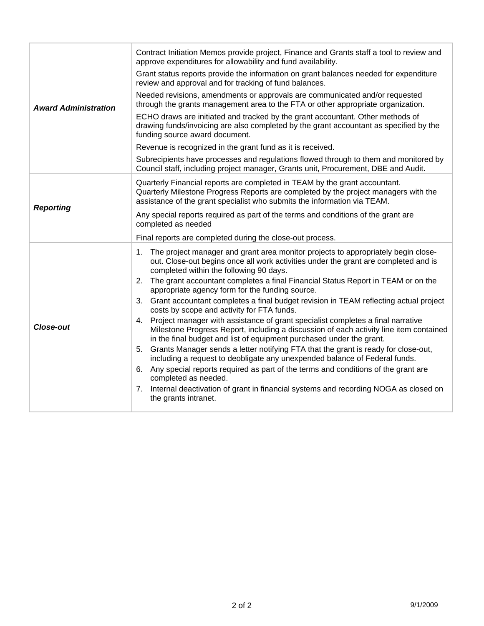| <b>Award Administration</b> | Contract Initiation Memos provide project, Finance and Grants staff a tool to review and<br>approve expenditures for allowability and fund availability.                                                                                             |
|-----------------------------|------------------------------------------------------------------------------------------------------------------------------------------------------------------------------------------------------------------------------------------------------|
|                             | Grant status reports provide the information on grant balances needed for expenditure<br>review and approval and for tracking of fund balances.                                                                                                      |
|                             | Needed revisions, amendments or approvals are communicated and/or requested<br>through the grants management area to the FTA or other appropriate organization.                                                                                      |
|                             | ECHO draws are initiated and tracked by the grant accountant. Other methods of<br>drawing funds/invoicing are also completed by the grant accountant as specified by the<br>funding source award document.                                           |
|                             | Revenue is recognized in the grant fund as it is received.                                                                                                                                                                                           |
|                             | Subrecipients have processes and regulations flowed through to them and monitored by<br>Council staff, including project manager, Grants unit, Procurement, DBE and Audit.                                                                           |
| <b>Reporting</b>            | Quarterly Financial reports are completed in TEAM by the grant accountant.<br>Quarterly Milestone Progress Reports are completed by the project managers with the<br>assistance of the grant specialist who submits the information via TEAM.        |
|                             | Any special reports required as part of the terms and conditions of the grant are<br>completed as needed                                                                                                                                             |
|                             | Final reports are completed during the close-out process.                                                                                                                                                                                            |
| <b>Close-out</b>            | The project manager and grant area monitor projects to appropriately begin close-<br>1.<br>out. Close-out begins once all work activities under the grant are completed and is<br>completed within the following 90 days.                            |
|                             | 2. The grant accountant completes a final Financial Status Report in TEAM or on the<br>appropriate agency form for the funding source.                                                                                                               |
|                             | 3. Grant accountant completes a final budget revision in TEAM reflecting actual project<br>costs by scope and activity for FTA funds.                                                                                                                |
|                             | 4. Project manager with assistance of grant specialist completes a final narrative<br>Milestone Progress Report, including a discussion of each activity line item contained<br>in the final budget and list of equipment purchased under the grant. |
|                             | 5. Grants Manager sends a letter notifying FTA that the grant is ready for close-out,<br>including a request to deobligate any unexpended balance of Federal funds.                                                                                  |
|                             | 6. Any special reports required as part of the terms and conditions of the grant are<br>completed as needed.                                                                                                                                         |
|                             |                                                                                                                                                                                                                                                      |
|                             | 7. Internal deactivation of grant in financial systems and recording NOGA as closed on<br>the grants intranet.                                                                                                                                       |